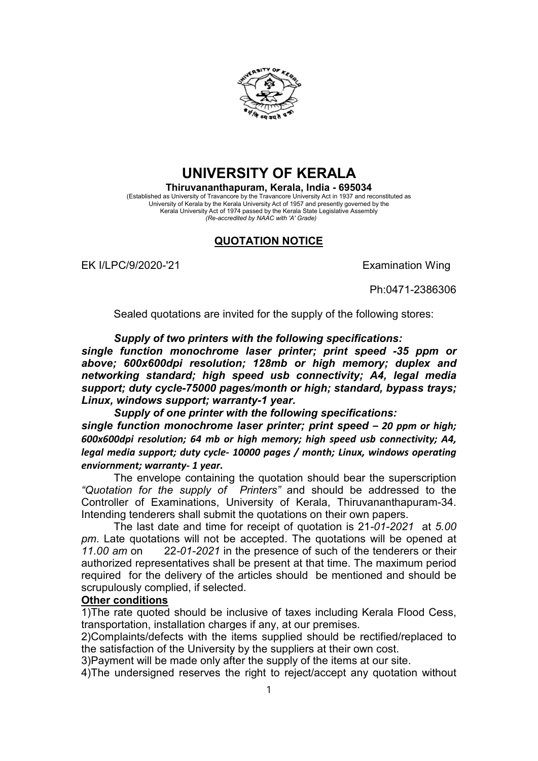

## **UNIVERSITY OF KERALA**

**Thiruvananthapuram, Kerala, India - 695034** (Established as University of Travancore by the Travancore University Act in 1937 and reconstituted as University of Kerala by the Kerala University Act of 1957 and presently governed by the Kerala University Act of 1974 passed by the Kerala State Legislative Assembly *(Re-accredited by NAAC with 'A' Grade)*

## **QUOTATION NOTICE**

EK I/LPC/9/2020-'21 EXamination Wing

Ph:0471-2386306

Sealed quotations are invited for the supply of the following stores:

*Supply of two printers with the following specifications:*

*single function monochrome laser printer; print speed -35 ppm or above; 600x600dpi resolution; 128mb or high memory; duplex and networking standard; high speed usb connectivity; A4, legal media support; duty cycle-75000 pages/month or high; standard, bypass trays; Linux, windows support; warranty-1 year.*

*Supply of one printer with the following specifications: single function monochrome laser printer; print speed – 20 ppm or high; 600x600dpi resolution; 64 mb or high memory; high speed usb connectivity; A4, legal media support; duty cycle- 10000 pages / month; Linux, windows operating enviornment; warranty- 1 year.*

The envelope containing the quotation should bear the superscription *"Quotation for the supply of Printers"* and should be addressed to the Controller of Examinations, University of Kerala, Thiruvananthapuram-34. Intending tenderers shall submit the quotations on their own papers.

The last date and time for receipt of quotation is 21*-01-2021* at *5.00 pm*. Late quotations will not be accepted. The quotations will be opened at *11.00 am* on 22*-01-2021* in the presence of such of the tenderers or their authorized representatives shall be present at that time. The maximum period required for the delivery of the articles should be mentioned and should be scrupulously complied, if selected.

## **Other conditions**

1)The rate quoted should be inclusive of taxes including Kerala Flood Cess, transportation, installation charges if any, at our premises.

2)Complaints/defects with the items supplied should be rectified/replaced to the satisfaction of the University by the suppliers at their own cost.

3)Payment will be made only after the supply of the items at our site.

4)The undersigned reserves the right to reject/accept any quotation without